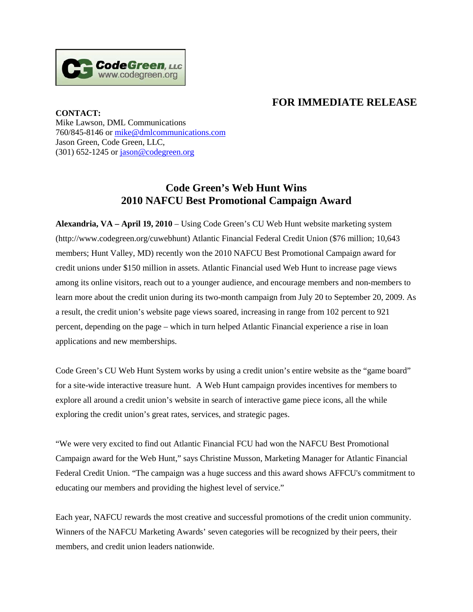## **FOR IMMEDIATE RELEASE**

**CONTACT:** Mike Lawson, DML Communications 760/845-8146 or [mike@dmlcommunications.com](mailto:mike@dmlcommunications.com) Jason Green, Code Green, LLC, (301) 652-1245 or [jason@codegreen.org](mailto:jason@codegreen.org)

**Code Green, LLC**<br>www.codegreen.org

## **Code Green's Web Hunt Wins 2010 NAFCU Best Promotional Campaign Award**

**Alexandria, VA – April 19, 2010** – Using Code Green's CU Web Hunt website marketing system (http://www.codegreen.org/cuwebhunt) Atlantic Financial Federal Credit Union (\$76 million; 10,643 members; Hunt Valley, MD) recently won the 2010 NAFCU Best Promotional Campaign award for credit unions under \$150 million in assets. Atlantic Financial used Web Hunt to increase page views among its online visitors, reach out to a younger audience, and encourage members and non-members to learn more about the credit union during its two-month campaign from July 20 to September 20, 2009. As a result, the credit union's website page views soared, increasing in range from 102 percent to 921 percent, depending on the page – which in turn helped Atlantic Financial experience a rise in loan applications and new memberships.

Code Green's CU Web Hunt System works by using a credit union's entire website as the "game board" for a site-wide interactive treasure hunt. A Web Hunt campaign provides incentives for members to explore all around a credit union's website in search of interactive game piece icons, all the while exploring the credit union's great rates, services, and strategic pages.

"We were very excited to find out Atlantic Financial FCU had won the NAFCU Best Promotional Campaign award for the Web Hunt," says Christine Musson, Marketing Manager for Atlantic Financial Federal Credit Union. "The campaign was a huge success and this award shows AFFCU's commitment to educating our members and providing the highest level of service."

Each year, NAFCU rewards the most creative and successful promotions of the credit union community. Winners of the NAFCU Marketing Awards' seven categories will be recognized by their peers, their members, and credit union leaders nationwide.